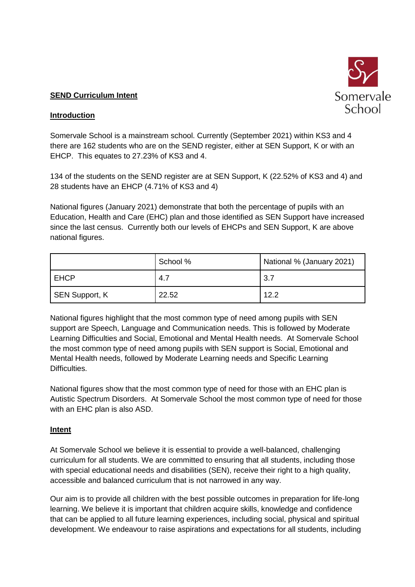

# **SEND Curriculum Intent**

# **Introduction**

Somervale School is a mainstream school. Currently (September 2021) within KS3 and 4 there are 162 students who are on the SEND register, either at SEN Support, K or with an EHCP. This equates to 27.23% of KS3 and 4.

134 of the students on the SEND register are at SEN Support, K (22.52% of KS3 and 4) and 28 students have an EHCP (4.71% of KS3 and 4)

National figures (January 2021) demonstrate that both the percentage of pupils with an Education, Health and Care (EHC) plan and those identified as SEN Support have increased since the last census. Currently both our levels of EHCPs and SEN Support, K are above national figures.

|                       | School % | National % (January 2021) |
|-----------------------|----------|---------------------------|
| <b>EHCP</b>           | 4.7      | 3.7                       |
| <b>SEN Support, K</b> | 22.52    | 12.2                      |

National figures highlight that the most common type of need among pupils with SEN support are Speech, Language and Communication needs. This is followed by Moderate Learning Difficulties and Social, Emotional and Mental Health needs. At Somervale School the most common type of need among pupils with SEN support is Social, Emotional and Mental Health needs, followed by Moderate Learning needs and Specific Learning Difficulties.

National figures show that the most common type of need for those with an EHC plan is Autistic Spectrum Disorders. At Somervale School the most common type of need for those with an EHC plan is also ASD.

# **Intent**

At Somervale School we believe it is essential to provide a well-balanced, challenging curriculum for all students. We are committed to ensuring that all students, including those with special educational needs and disabilities (SEN), receive their right to a high quality, accessible and balanced curriculum that is not narrowed in any way.

Our aim is to provide all children with the best possible outcomes in preparation for life-long learning. We believe it is important that children acquire skills, knowledge and confidence that can be applied to all future learning experiences, including social, physical and spiritual development. We endeavour to raise aspirations and expectations for all students, including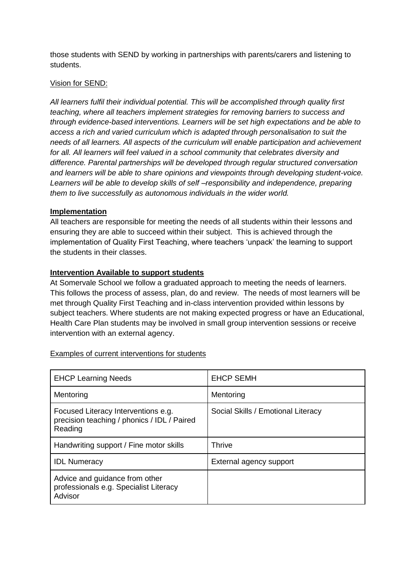those students with SEND by working in partnerships with parents/carers and listening to students.

## Vision for SEND:

*All learners fulfil their individual potential. This will be accomplished through quality first teaching, where all teachers implement strategies for removing barriers to success and through evidence-based interventions. Learners will be set high expectations and be able to access a rich and varied curriculum which is adapted through personalisation to suit the needs of all learners. All aspects of the curriculum will enable participation and achievement*  for all. All learners will feel valued in a school community that celebrates diversity and *difference. Parental partnerships will be developed through regular structured conversation and learners will be able to share opinions and viewpoints through developing student-voice. Learners will be able to develop skills of self –responsibility and independence, preparing them to live successfully as autonomous individuals in the wider world.*

## **Implementation**

All teachers are responsible for meeting the needs of all students within their lessons and ensuring they are able to succeed within their subject. This is achieved through the implementation of Quality First Teaching, where teachers 'unpack' the learning to support the students in their classes.

## **Intervention Available to support students**

At Somervale School we follow a graduated approach to meeting the needs of learners. This follows the process of assess, plan, do and review. The needs of most learners will be met through Quality First Teaching and in-class intervention provided within lessons by subject teachers. Where students are not making expected progress or have an Educational, Health Care Plan students may be involved in small group intervention sessions or receive intervention with an external agency.

| <b>EHCP Learning Needs</b>                                                                    | <b>EHCP SEMH</b>                   |
|-----------------------------------------------------------------------------------------------|------------------------------------|
| Mentoring                                                                                     | Mentoring                          |
| Focused Literacy Interventions e.g.<br>precision teaching / phonics / IDL / Paired<br>Reading | Social Skills / Emotional Literacy |
| Handwriting support / Fine motor skills                                                       | Thrive                             |
| <b>IDL Numeracy</b>                                                                           | External agency support            |
| Advice and guidance from other<br>professionals e.g. Specialist Literacy<br>Advisor           |                                    |

## Examples of current interventions for students